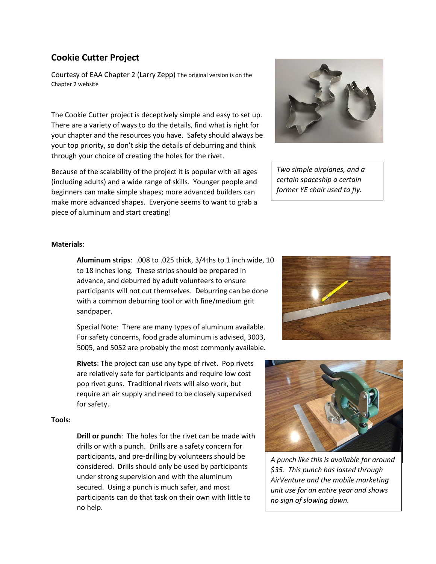## **Cookie Cutter Project**

Courtesy of EAA Chapter 2 (Larry Zepp) The original version is on the Chapter 2 website

The Cookie Cutter project is deceptively simple and easy to set up. There are a variety of ways to do the details, find what is right for your chapter and the resources you have. Safety should always be your top priority, so don't skip the details of deburring and think through your choice of creating the holes for the rivet.

Because of the scalability of the project it is popular with all ages (including adults) and a wide range of skills. Younger people and beginners can make simple shapes; more advanced builders can make more advanced shapes. Everyone seems to want to grab a piece of aluminum and start creating!



*Two simple airplanes, and a certain spaceship a certain former YE chair used to fly.*

## **Materials**:

**Aluminum strips**: .008 to .025 thick, 3/4ths to 1 inch wide, 10 to 18 inches long. These strips should be prepared in advance, and deburred by adult volunteers to ensure participants will not cut themselves. Deburring can be done with a common deburring tool or with fine/medium grit sandpaper.

Special Note: There are many types of aluminum available. For safety concerns, food grade aluminum is advised, 3003, 5005, and 5052 are probably the most commonly available.

**Rivets**: The project can use any type of rivet. Pop rivets are relatively safe for participants and require low cost pop rivet guns. Traditional rivets will also work, but require an air supply and need to be closely supervised for safety.

## **Tools:**

**Drill or punch**: The holes for the rivet can be made with drills or with a punch. Drills are a safety concern for participants, and pre-drilling by volunteers should be considered. Drills should only be used by participants under strong supervision and with the aluminum secured. Using a punch is much safer, and most participants can do that task on their own with little to no help.





*A punch like this is available for around \$35. This punch has lasted through AirVenture and the mobile marketing unit use for an entire year and shows no sign of slowing down.*